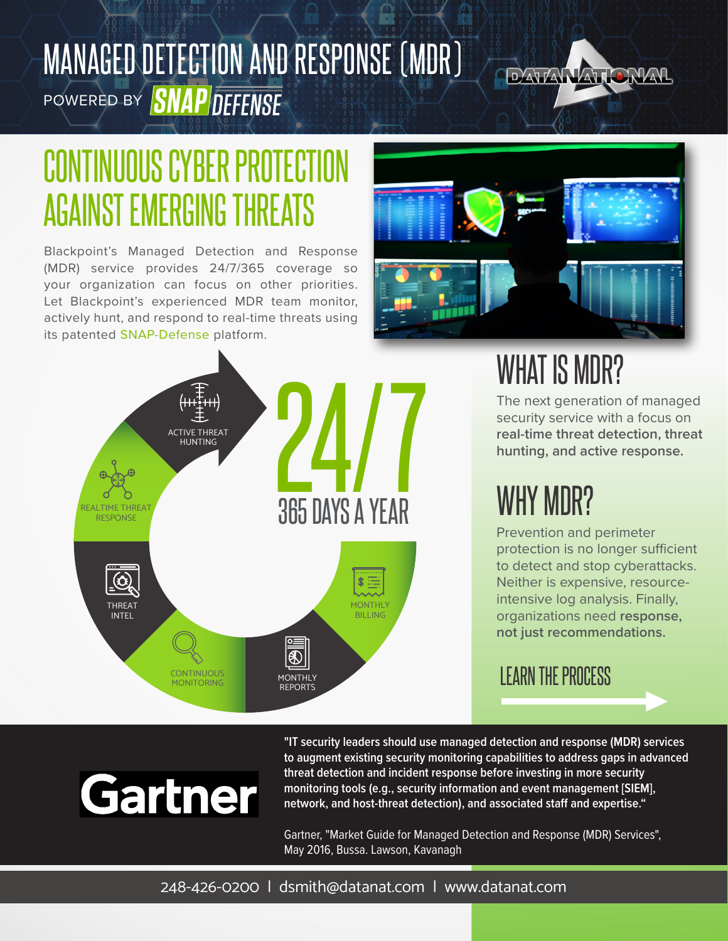# MANAGED DETECTION AND RESPONSE (MDR) POWERED BY **SNAP DEFENSE**



# CONTINUOUS CYBER PROTECTION AGAINST EMERGING THREATS

Blackpoint's Managed Detection and Response (MDR) service provides 24/7/365 coverage so your organization can focus on other priorities. Let Blackpoint's experienced MDR team monitor, actively hunt, and respond to real-time threats using its patented SNAP-Defense platform.



WHAT IS MDR?

The next generation of managed security service with a focus on **real-time threat detection, threat hunting, and active response.**

# WHY MDR?

Prevention and perimeter protection is no longer sufficient to detect and stop cyberattacks. Neither is expensive, resourceintensive log analysis. Finally, organizations need **response, not just recommendations.**

### LEARN THE PROCESS

# Gartner

**"IT security leaders should use managed detection and response (MDR) services to augment existing security monitoring capabilities to address gaps in advanced threat detection and incident response before investing in more security monitoring tools (e.g., security information and event management [SIEM], network, and host-threat detection), and associated staff and expertise."**

Gartner, "Market Guide for Managed Detection and Response (MDR) Services", May 2016, Bussa. Lawson, Kavanagh